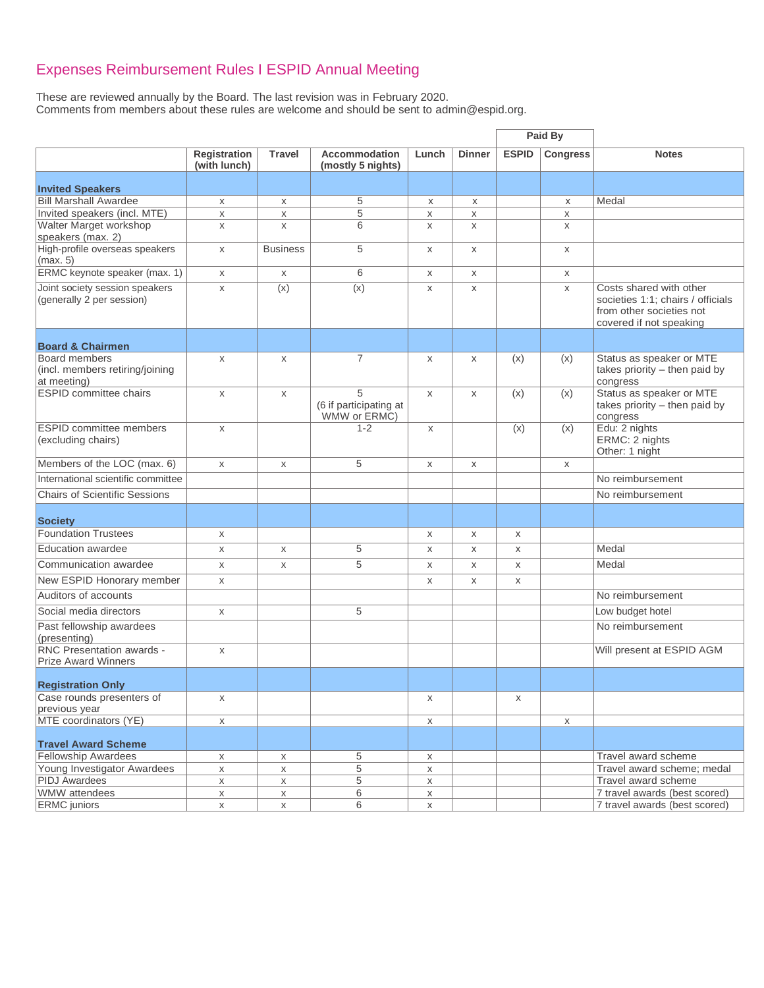## Expenses Reimbursement Rules I ESPID Annual Meeting

These are reviewed annually by the Board. The last revision was in February 2020. Comments from members about these rules are welcome and should be sent to [admin@espid.org.](mailto:admin@espid.org)

|                                                                 |                              |                 |                                             |             |               |              | Paid By         |                                                                                                                     |
|-----------------------------------------------------------------|------------------------------|-----------------|---------------------------------------------|-------------|---------------|--------------|-----------------|---------------------------------------------------------------------------------------------------------------------|
|                                                                 | Registration<br>(with lunch) | <b>Travel</b>   | <b>Accommodation</b><br>(mostly 5 nights)   | Lunch       | <b>Dinner</b> | <b>ESPID</b> | <b>Congress</b> | <b>Notes</b>                                                                                                        |
| <b>Invited Speakers</b>                                         |                              |                 |                                             |             |               |              |                 |                                                                                                                     |
| <b>Bill Marshall Awardee</b>                                    | X                            | X               | 5                                           | X           | X             |              | X               | Medal                                                                                                               |
| Invited speakers (incl. MTE)                                    | X                            | X               | 5                                           | X           | X             |              | X               |                                                                                                                     |
| Walter Marget workshop<br>speakers (max. 2)                     | $\mathsf X$                  | X               | 6                                           | X           | X             |              | X               |                                                                                                                     |
| High-profile overseas speakers<br>(max. 5)                      | X                            | <b>Business</b> | 5                                           | X           | X             |              | X               |                                                                                                                     |
| ERMC keynote speaker (max. 1)                                   | X                            | X               | 6                                           | X           | X             |              | X               |                                                                                                                     |
| Joint society session speakers<br>(generally 2 per session)     | X                            | (x)             | (x)                                         | X           | X             |              | X               | Costs shared with other<br>societies 1:1; chairs / officials<br>from other societies not<br>covered if not speaking |
| <b>Board &amp; Chairmen</b>                                     |                              |                 |                                             |             |               |              |                 |                                                                                                                     |
| Board members<br>(incl. members retiring/joining<br>at meeting) | $\mathsf{X}$                 | X               | $\overline{7}$                              | X           | X             | (x)          | (x)             | Status as speaker or MTE<br>takes priority - then paid by<br>congress                                               |
| <b>ESPID committee chairs</b>                                   | X                            | X               | 5<br>(6 if participating at<br>WMW or ERMC) | X           | $\mathsf X$   | (x)          | (x)             | Status as speaker or MTE<br>takes priority - then paid by<br>congress                                               |
| <b>ESPID committee members</b><br>(excluding chairs)            | X                            |                 | $1 - 2$                                     | X           |               | (x)          | (x)             | Edu: 2 nights<br>ERMC: 2 nights<br>Other: 1 night                                                                   |
| Members of the LOC (max. 6)                                     | X                            | X               | 5                                           | X           | X             |              | X               |                                                                                                                     |
| International scientific committee                              |                              |                 |                                             |             |               |              |                 | No reimbursement                                                                                                    |
| <b>Chairs of Scientific Sessions</b>                            |                              |                 |                                             |             |               |              |                 | No reimbursement                                                                                                    |
| <b>Society</b>                                                  |                              |                 |                                             |             |               |              |                 |                                                                                                                     |
| <b>Foundation Trustees</b>                                      | X                            |                 |                                             | X           | X             | X            |                 |                                                                                                                     |
| <b>Education awardee</b>                                        | X                            | X               | 5                                           | X           | X             | X            |                 | Medal                                                                                                               |
| Communication awardee                                           | X                            | X               | 5                                           | X           | X             | X            |                 | Medal                                                                                                               |
|                                                                 |                              |                 |                                             |             |               |              |                 |                                                                                                                     |
| New ESPID Honorary member                                       | X                            |                 |                                             | X           | X             | X            |                 |                                                                                                                     |
| Auditors of accounts                                            |                              |                 |                                             |             |               |              |                 | No reimbursement                                                                                                    |
| Social media directors                                          | $\mathsf{x}$                 |                 | 5                                           |             |               |              |                 | Low budget hotel                                                                                                    |
| Past fellowship awardees<br>(presenting)                        |                              |                 |                                             |             |               |              |                 | No reimbursement                                                                                                    |
| <b>RNC Presentation awards -</b><br><b>Prize Award Winners</b>  | X                            |                 |                                             |             |               |              |                 | Will present at ESPID AGM                                                                                           |
| <b>Registration Only</b>                                        |                              |                 |                                             |             |               |              |                 |                                                                                                                     |
| Case rounds presenters of<br>previous year                      | X                            |                 |                                             | X           |               | X            |                 |                                                                                                                     |
| MTE coordinators (YE)                                           | $\mathsf{X}$                 |                 |                                             | X           |               |              | X               |                                                                                                                     |
| <b>Travel Award Scheme</b>                                      |                              |                 |                                             |             |               |              |                 |                                                                                                                     |
| <b>Fellowship Awardees</b>                                      | X                            | X               | $\overline{5}$                              | X           |               |              |                 | Travel award scheme                                                                                                 |
| Young Investigator Awardees                                     | $\mathsf X$                  | X               | 5                                           | $\mathsf X$ |               |              |                 | Travel award scheme; medal                                                                                          |
| <b>PIDJ</b> Awardees                                            | $\mathsf X$                  | X               | 5                                           | X           |               |              |                 | Travel award scheme                                                                                                 |
| WMW attendees                                                   | $\mathsf X$                  | X               | 6                                           | X           |               |              |                 | 7 travel awards (best scored)                                                                                       |
| <b>ERMC</b> juniors                                             | X                            | $\mathsf X$     | 6                                           | $\mathsf X$ |               |              |                 | 7 travel awards (best scored)                                                                                       |